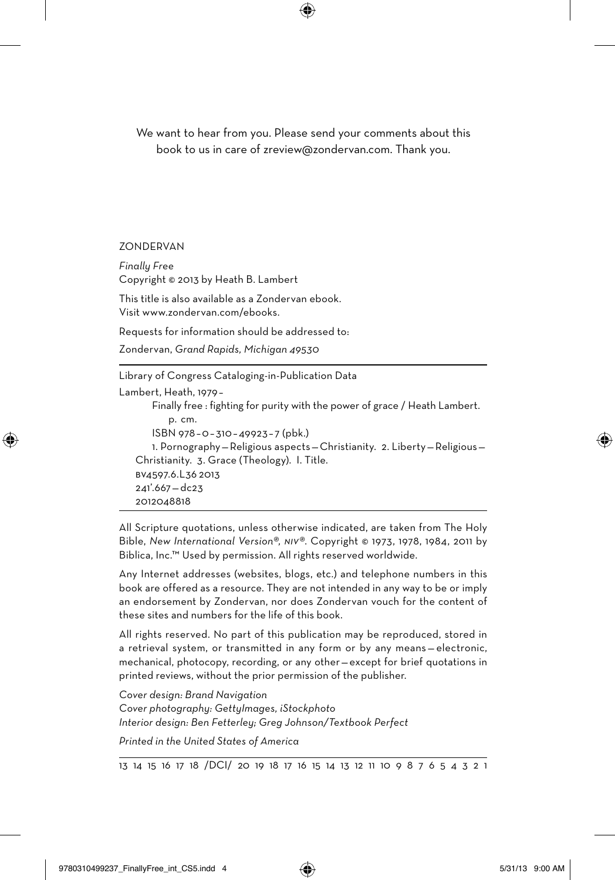We want to hear from you. Please send your comments about this book to us in care of zreview@zondervan.com. Thank you.

#### ZONDERVAN

*Finally Free* Copyright © 2013 by Heath B. Lambert

This title is also available as a Zondervan ebook. Visit www.zondervan.com/ebooks.

Requests for information should be addressed to:

Zondervan, *Grand Rapids, Michigan 49530*

Library of Congress Cataloging-in-Publication Data

Lambert, Heath, 1979 – Finally free : fighting for purity with the power of grace / Heath Lambert. p. cm. ISBN 978 – 0 – 310 – 49923 – 7 (pbk.) 1. Pornography - Religious aspects - Christianity. 2. Liberty - Religious -Christianity. 3. Grace (Theology). I. Title. bv4597.6.L36 2013 241'.667 — dc23 2012048818

All Scripture quotations, unless otherwise indicated, are taken from The Holy Bible, *New International Version®, niv®*. Copyright © 1973, 1978, 1984, 2011 by Biblica, Inc.™ Used by permission. All rights reserved worldwide.

Any Internet addresses (websites, blogs, etc.) and telephone numbers in this book are offered as a resource. They are not intended in any way to be or imply an endorsement by Zondervan, nor does Zondervan vouch for the content of these sites and numbers for the life of this book.

All rights reserved. No part of this publication may be reproduced, stored in a retrieval system, or transmitted in any form or by any means — electronic, mechanical, photocopy, recording, or any other — except for brief quotations in printed reviews, without the prior permission of the publisher.

*Cover design: Brand Navigation*

*Cover photography: GettyImages, iStockphoto Interior design: Ben Fetterley; Greg Johnson/Textbook Perfect*

*Printed in the United States of America*

13 14 15 16 17 18 /DCI/ 20 19 18 17 16 15 14 13 12 11 10 9 8 7 6 5 4 3 2 1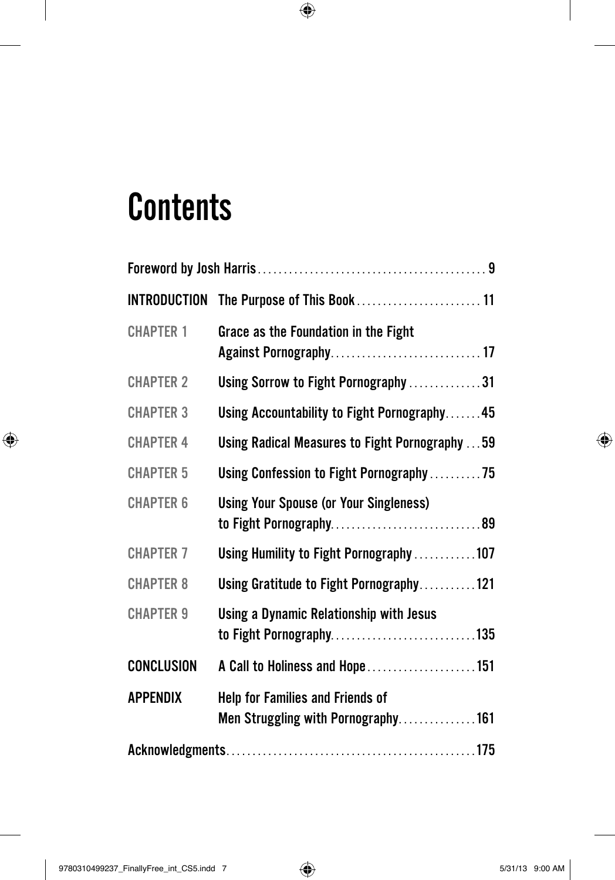## **Contents**

| <b>CHAPTER 1</b>  | Grace as the Foundation in the Fight                                          |
|-------------------|-------------------------------------------------------------------------------|
| <b>CHAPTER 2</b>  | Using Sorrow to Fight Pornography 31                                          |
| <b>CHAPTER 3</b>  | Using Accountability to Fight Pornography45                                   |
| <b>CHAPTER 4</b>  | Using Radical Measures to Fight Pornography 59                                |
| <b>CHAPTER 5</b>  | Using Confession to Fight Pornography 75                                      |
| <b>CHAPTER 6</b>  | <b>Using Your Spouse (or Your Singleness)</b><br>to Fight Pornography89       |
| <b>CHAPTER 7</b>  | Using Humility to Fight Pornography107                                        |
| <b>CHAPTER 8</b>  | Using Gratitude to Fight Pornography121                                       |
| <b>CHAPTER 9</b>  | <b>Using a Dynamic Relationship with Jesus</b><br>to Fight Pornography135     |
| <b>CONCLUSION</b> | A Call to Holiness and Hope151                                                |
| <b>APPENDIX</b>   | <b>Help for Families and Friends of</b><br>Men Struggling with Pornography161 |
|                   |                                                                               |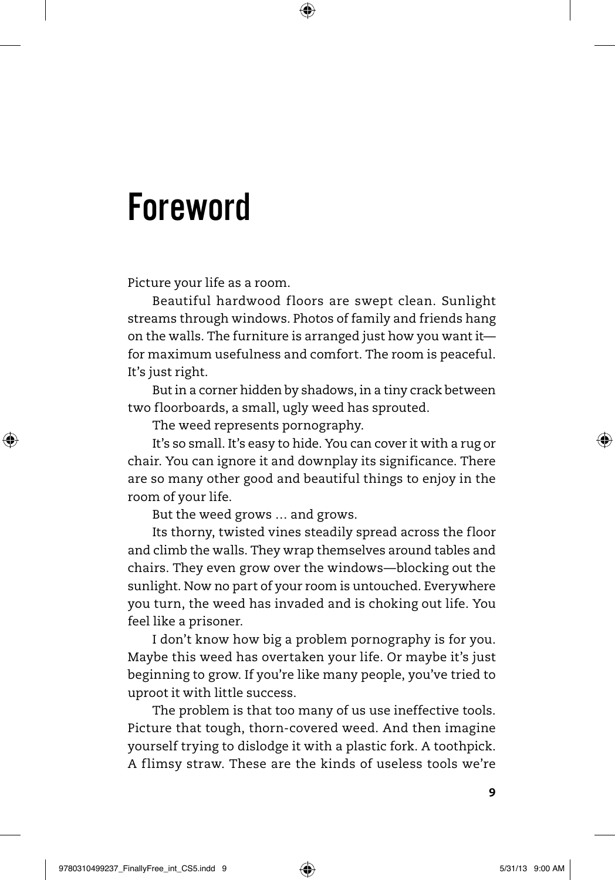### Foreword

Picture your life as a room.

Beautiful hardwood floors are swept clean. Sunlight streams through windows. Photos of family and friends hang on the walls. The furniture is arranged just how you want it for maximum usefulness and comfort. The room is peaceful. It's just right.

But in a corner hidden by shadows, in a tiny crack between two floorboards, a small, ugly weed has sprouted.

The weed represents pornography.

It's so small. It's easy to hide. You can cover it with a rug or chair. You can ignore it and downplay its significance. There are so many other good and beautiful things to enjoy in the room of your life.

But the weed grows … and grows.

Its thorny, twisted vines steadily spread across the floor and climb the walls. They wrap themselves around tables and chairs. They even grow over the windows—blocking out the sunlight. Now no part of your room is untouched. Everywhere you turn, the weed has invaded and is choking out life. You feel like a prisoner.

I don't know how big a problem pornography is for you. Maybe this weed has overtaken your life. Or maybe it's just beginning to grow. If you're like many people, you've tried to uproot it with little success.

The problem is that too many of us use ineffective tools. Picture that tough, thorn-covered weed. And then imagine yourself trying to dislodge it with a plastic fork. A toothpick. A flimsy straw. These are the kinds of useless tools we're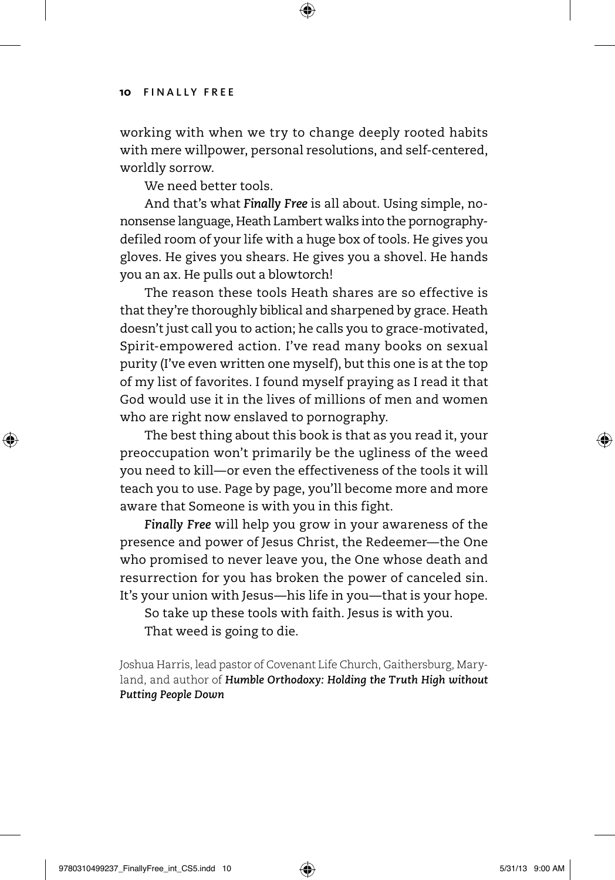working with when we try to change deeply rooted habits with mere willpower, personal resolutions, and self-centered, worldly sorrow.

We need better tools.

And that's what *Finally Free* is all about. Using simple, nononsense language, Heath Lambert walks into the pornographydefiled room of your life with a huge box of tools. He gives you gloves. He gives you shears. He gives you a shovel. He hands you an ax. He pulls out a blowtorch!

The reason these tools Heath shares are so effective is that they're thoroughly biblical and sharpened by grace. Heath doesn't just call you to action; he calls you to grace-motivated, Spirit-empowered action. I've read many books on sexual purity (I've even written one myself), but this one is at the top of my list of favorites. I found myself praying as I read it that God would use it in the lives of millions of men and women who are right now enslaved to pornography.

The best thing about this book is that as you read it, your preoccupation won't primarily be the ugliness of the weed you need to kill—or even the effectiveness of the tools it will teach you to use. Page by page, you'll become more and more aware that Someone is with you in this fight.

*Finally Free* will help you grow in your awareness of the presence and power of Jesus Christ, the Redeemer—the One who promised to never leave you, the One whose death and resurrection for you has broken the power of canceled sin. It's your union with Jesus—his life in you—that is your hope.

So take up these tools with faith. Jesus is with you.

That weed is going to die.

Joshua Harris, lead pastor of Covenant Life Church, Gaithersburg, Maryland, and author of *Humble Orthodoxy: Holding the Truth High without Putting People Down*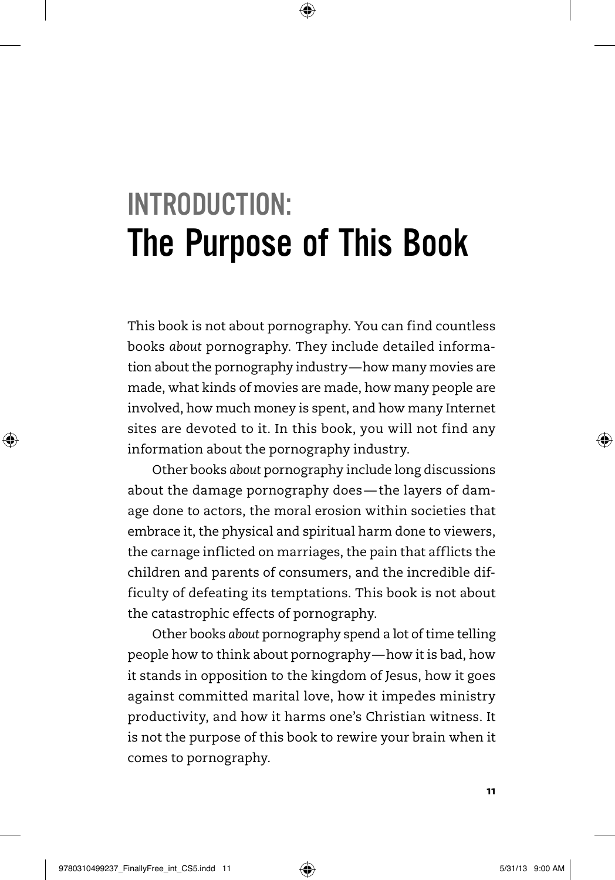### INTRODUCTION: The Purpose of This Book

This book is not about pornography. You can find countless books *about* pornography. They include detailed information about the pornography industry — how many movies are made, what kinds of movies are made, how many people are involved, how much money is spent, and how many Internet sites are devoted to it. In this book, you will not find any information about the pornography industry.

Other books *about* pornography include long discussions about the damage pornography does — the layers of damage done to actors, the moral erosion within societies that embrace it, the physical and spiritual harm done to viewers, the carnage inflicted on marriages, the pain that afflicts the children and parents of consumers, and the incredible difficulty of defeating its temptations. This book is not about the catastrophic effects of pornography.

Other books *about* pornography spend a lot of time telling people how to think about pornography — how it is bad, how it stands in opposition to the kingdom of Jesus, how it goes against committed marital love, how it impedes ministry productivity, and how it harms one's Christian witness. It is not the purpose of this book to rewire your brain when it comes to pornography.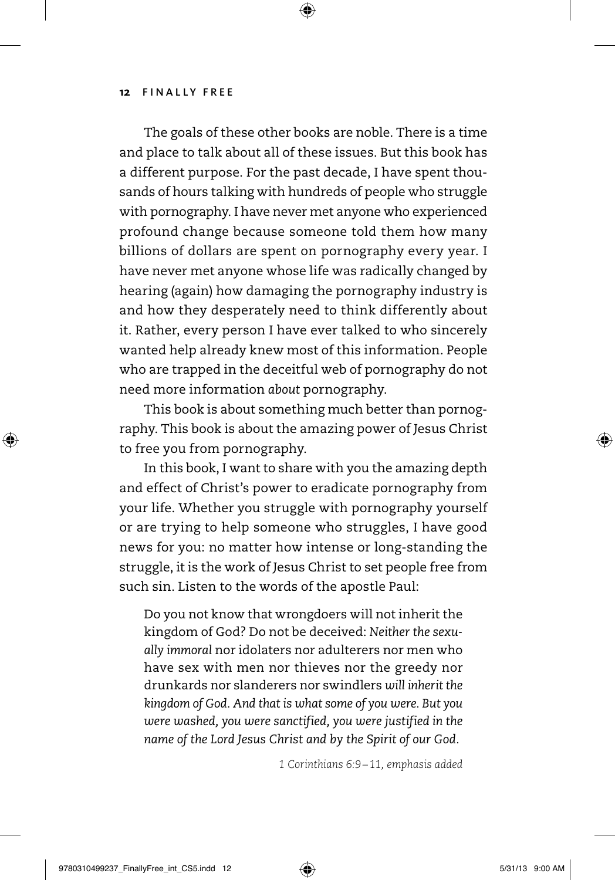The goals of these other books are noble. There is a time and place to talk about all of these issues. But this book has a different purpose. For the past decade, I have spent thousands of hours talking with hundreds of people who struggle with pornography. I have never met anyone who experienced profound change because someone told them how many billions of dollars are spent on pornography every year. I have never met anyone whose life was radically changed by hearing (again) how damaging the pornography industry is and how they desperately need to think differently about it. Rather, every person I have ever talked to who sincerely wanted help already knew most of this information. People who are trapped in the deceitful web of pornography do not need more information *about* pornography.

This book is about something much better than pornography. This book is about the amazing power of Jesus Christ to free you from pornography.

In this book, I want to share with you the amazing depth and effect of Christ's power to eradicate pornography from your life. Whether you struggle with pornography yourself or are trying to help someone who struggles, I have good news for you: no matter how intense or long-standing the struggle, it is the work of Jesus Christ to set people free from such sin. Listen to the words of the apostle Paul:

Do you not know that wrongdoers will not inherit the kingdom of God? Do not be deceived: *Neither the sexually immoral* nor idolaters nor adulterers nor men who have sex with men nor thieves nor the greedy nor drunkards nor slanderers nor swindlers *will inherit the kingdom of God. And that is what some of you were. But you were washed, you were sanctified, you were justified in the name of the Lord Jesus Christ and by the Spirit of our God.*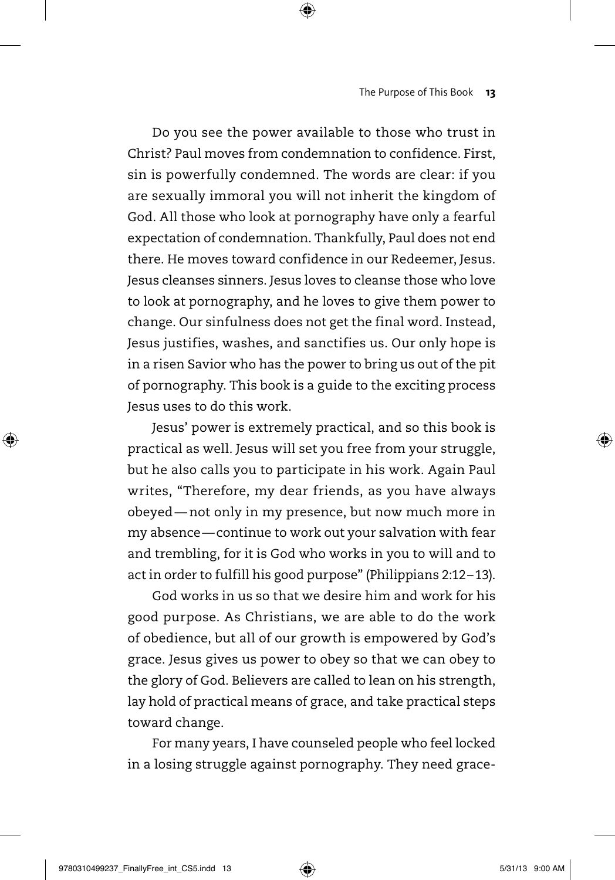Do you see the power available to those who trust in Christ? Paul moves from condemnation to confidence. First, sin is powerfully condemned. The words are clear: if you are sexually immoral you will not inherit the kingdom of God. All those who look at pornography have only a fearful expectation of condemnation. Thankfully, Paul does not end there. He moves toward confidence in our Redeemer, Jesus. Jesus cleanses sinners. Jesus loves to cleanse those who love to look at pornography, and he loves to give them power to change. Our sinfulness does not get the final word. Instead, Jesus justifies, washes, and sanctifies us. Our only hope is in a risen Savior who has the power to bring us out of the pit of pornography. This book is a guide to the exciting process Jesus uses to do this work.

Jesus' power is extremely practical, and so this book is practical as well. Jesus will set you free from your struggle, but he also calls you to participate in his work. Again Paul writes, "Therefore, my dear friends, as you have always obeyed — not only in my presence, but now much more in my absence — continue to work out your salvation with fear and trembling, for it is God who works in you to will and to act in order to fulfill his good purpose" (Philippians 2:12 – 13).

God works in us so that we desire him and work for his good purpose. As Christians, we are able to do the work of obedience, but all of our growth is empowered by God's grace. Jesus gives us power to obey so that we can obey to the glory of God. Believers are called to lean on his strength, lay hold of practical means of grace, and take practical steps toward change.

For many years, I have counseled people who feel locked in a losing struggle against pornography. They need grace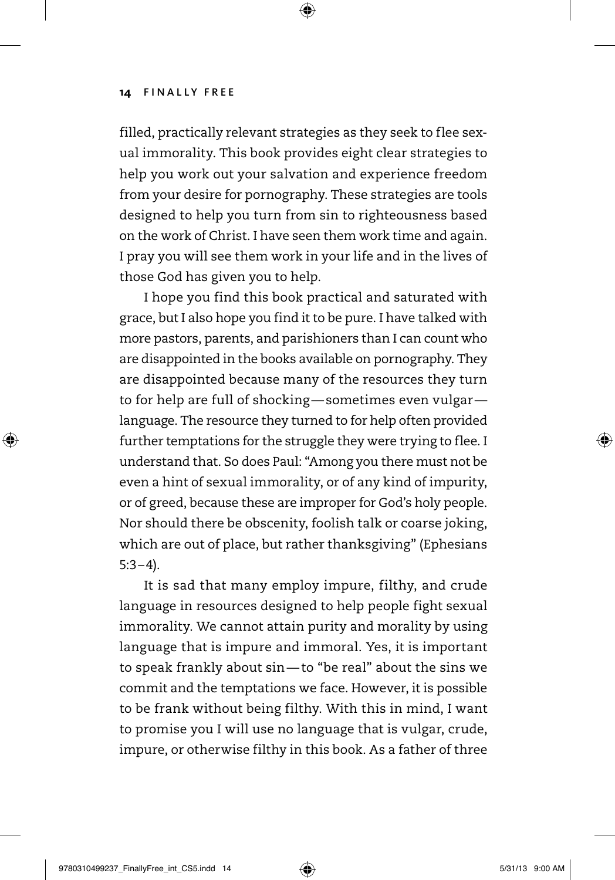filled, practically relevant strategies as they seek to flee sexual immorality. This book provides eight clear strategies to help you work out your salvation and experience freedom from your desire for pornography. These strategies are tools designed to help you turn from sin to righteousness based on the work of Christ. I have seen them work time and again. I pray you will see them work in your life and in the lives of those God has given you to help.

I hope you find this book practical and saturated with grace, but I also hope you find it to be pure. I have talked with more pastors, parents, and parishioners than I can count who are disappointed in the books available on pornography. They are disappointed because many of the resources they turn to for help are full of shocking-sometimes even vulgarlanguage. The resource they turned to for help often provided further temptations for the struggle they were trying to flee. I understand that. So does Paul: "Among you there must not be even a hint of sexual immorality, or of any kind of impurity, or of greed, because these are improper for God's holy people. Nor should there be obscenity, foolish talk or coarse joking, which are out of place, but rather thanksgiving" (Ephesians  $5:3 - 4$ ).

It is sad that many employ impure, filthy, and crude language in resources designed to help people fight sexual immorality. We cannot attain purity and morality by using language that is impure and immoral. Yes, it is important to speak frankly about sin — to "be real" about the sins we commit and the temptations we face. However, it is possible to be frank without being filthy. With this in mind, I want to promise you I will use no language that is vulgar, crude, impure, or otherwise filthy in this book. As a father of three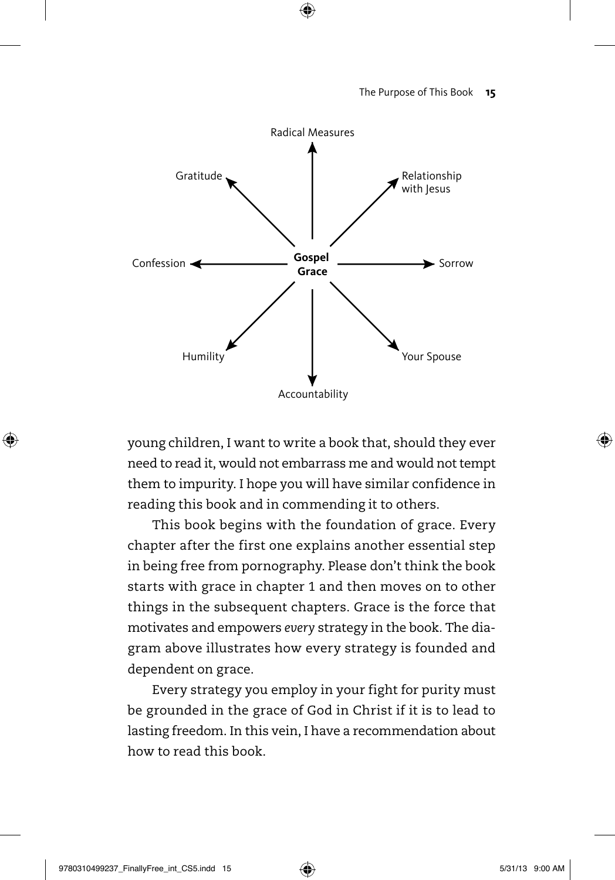

young children, I want to write a book that, should they ever need to read it, would not embarrass me and would not tempt them to impurity. I hope you will have similar confidence in reading this book and in commending it to others.

This book begins with the foundation of grace. Every chapter after the first one explains another essential step in being free from pornography. Please don't think the book starts with grace in chapter 1 and then moves on to other things in the subsequent chapters. Grace is the force that motivates and empowers *every* strategy in the book. The diagram above illustrates how every strategy is founded and dependent on grace.

Every strategy you employ in your fight for purity must be grounded in the grace of God in Christ if it is to lead to lasting freedom. In this vein, I have a recommendation about how to read this book.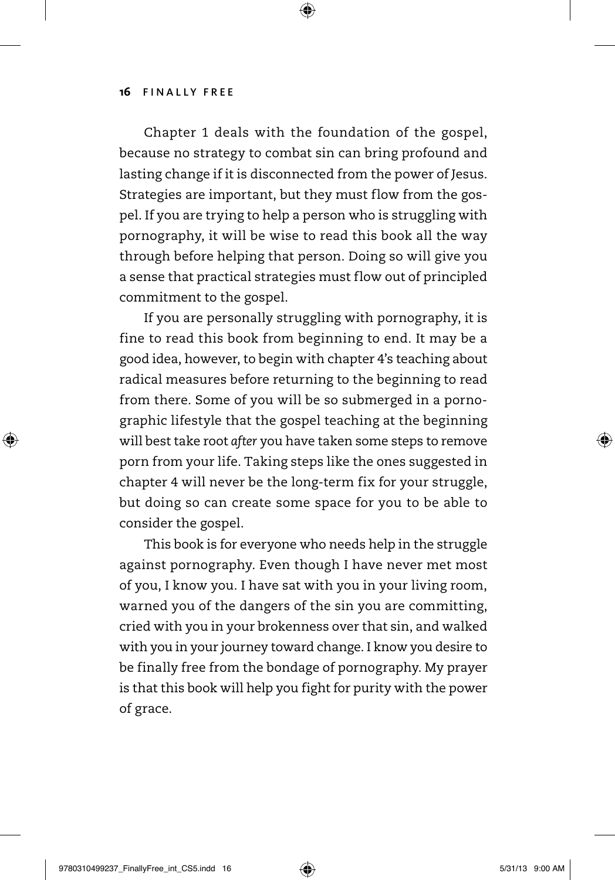Chapter 1 deals with the foundation of the gospel, because no strategy to combat sin can bring profound and lasting change if it is disconnected from the power of Jesus. Strategies are important, but they must flow from the gospel. If you are trying to help a person who is struggling with pornography, it will be wise to read this book all the way through before helping that person. Doing so will give you a sense that practical strategies must flow out of principled commitment to the gospel.

If you are personally struggling with pornography, it is fine to read this book from beginning to end. It may be a good idea, however, to begin with chapter 4's teaching about radical measures before returning to the beginning to read from there. Some of you will be so submerged in a pornographic lifestyle that the gospel teaching at the beginning will best take root *after* you have taken some steps to remove porn from your life. Taking steps like the ones suggested in chapter 4 will never be the long-term fix for your struggle, but doing so can create some space for you to be able to consider the gospel.

This book is for everyone who needs help in the struggle against pornography. Even though I have never met most of you, I know you. I have sat with you in your living room, warned you of the dangers of the sin you are committing, cried with you in your brokenness over that sin, and walked with you in your journey toward change. I know you desire to be finally free from the bondage of pornography. My prayer is that this book will help you fight for purity with the power of grace.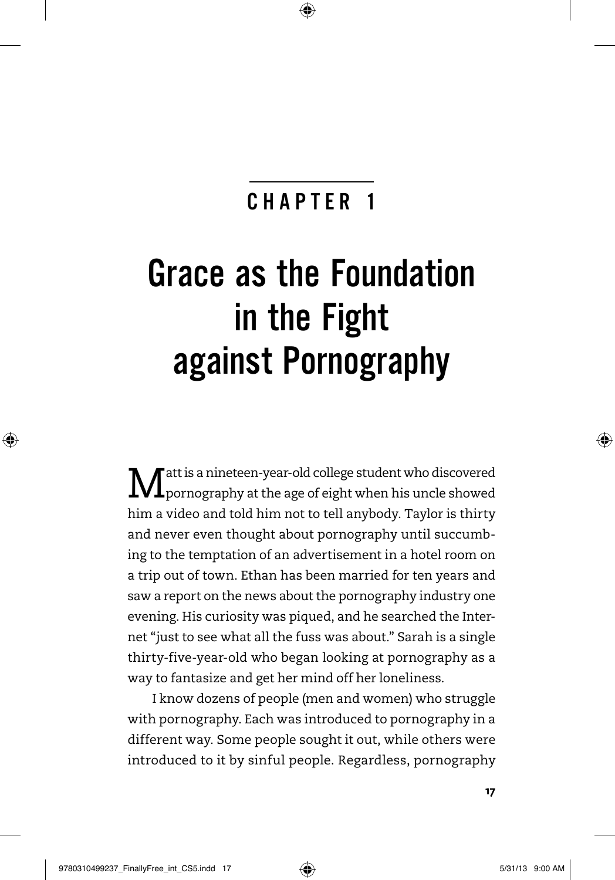### CHAPTER 1

# Grace as the Foundation in the Fight against Pornography

 $\mathbf M$ att is a nineteen-year-old college student who discovered  $\prime\mathbf{I}$ pornography at the age of eight when his uncle showed him a video and told him not to tell anybody. Taylor is thirty and never even thought about pornography until succumbing to the temptation of an advertisement in a hotel room on a trip out of town. Ethan has been married for ten years and saw a report on the news about the pornography industry one evening. His curiosity was piqued, and he searched the Internet "just to see what all the fuss was about." Sarah is a single thirty-five-year-old who began looking at pornography as a way to fantasize and get her mind off her loneliness.

I know dozens of people (men and women) who struggle with pornography. Each was introduced to pornography in a different way. Some people sought it out, while others were introduced to it by sinful people. Regardless, pornography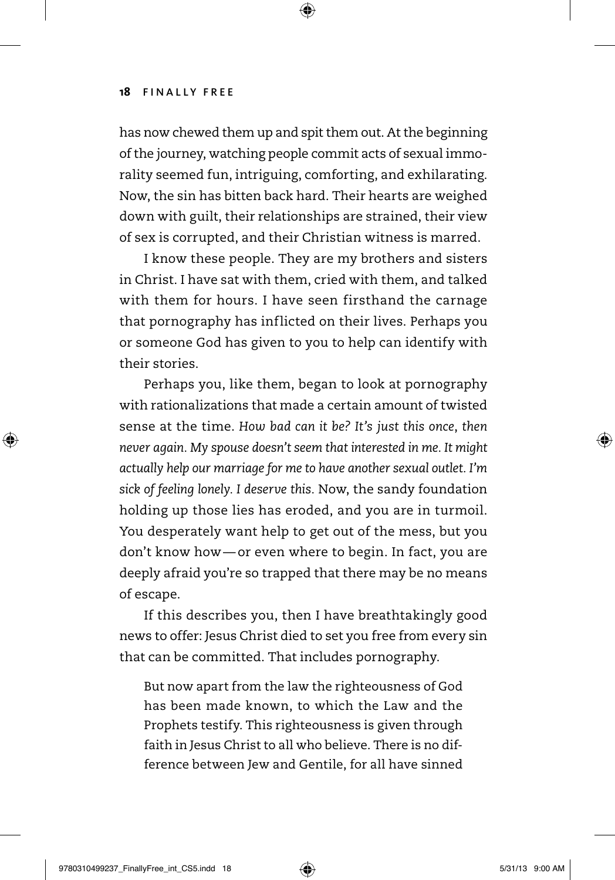has now chewed them up and spit them out. At the beginning of the journey, watching people commit acts of sexual immorality seemed fun, intriguing, comforting, and exhilarating. Now, the sin has bitten back hard. Their hearts are weighed down with guilt, their relationships are strained, their view of sex is corrupted, and their Christian witness is marred.

I know these people. They are my brothers and sisters in Christ. I have sat with them, cried with them, and talked with them for hours. I have seen firsthand the carnage that pornography has inflicted on their lives. Perhaps you or someone God has given to you to help can identify with their stories.

Perhaps you, like them, began to look at pornography with rationalizations that made a certain amount of twisted sense at the time. *How bad can it be? It's just this once*, *then never again. My spouse doesn't seem that interested in me. It might actually help our marriage for me to have another sexual outlet. I'm sick of feeling lonely. I deserve this.* Now, the sandy foundation holding up those lies has eroded, and you are in turmoil. You desperately want help to get out of the mess, but you don't know how — or even where to begin. In fact, you are deeply afraid you're so trapped that there may be no means of escape.

If this describes you, then I have breathtakingly good news to offer: Jesus Christ died to set you free from every sin that can be committed. That includes pornography.

But now apart from the law the righteousness of God has been made known, to which the Law and the Prophets testify. This righteousness is given through faith in Jesus Christ to all who believe. There is no difference between Jew and Gentile, for all have sinned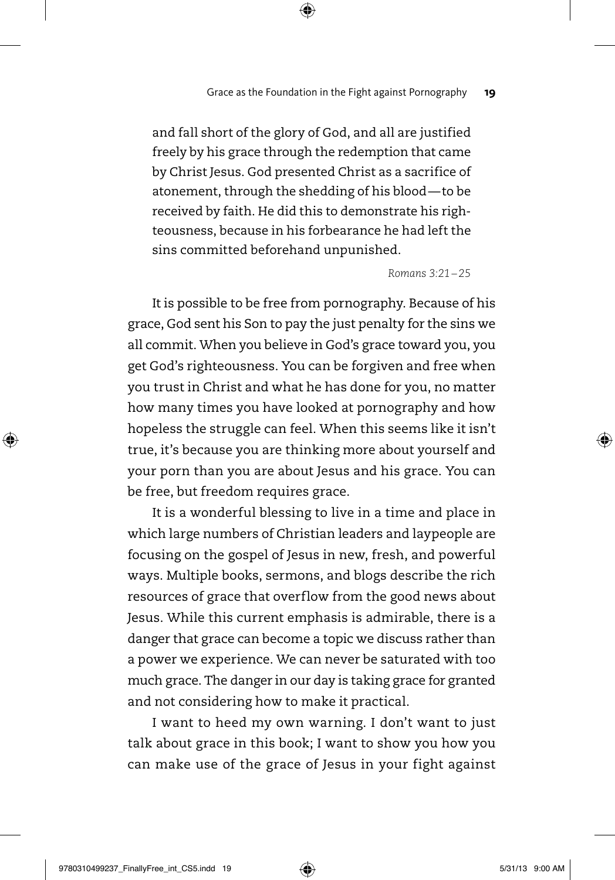and fall short of the glory of God, and all are justified freely by his grace through the redemption that came by Christ Jesus. God presented Christ as a sacrifice of atonement, through the shedding of his blood — to be received by faith. He did this to demonstrate his righteousness, because in his forbearance he had left the sins committed beforehand unpunished.

*Romans 3:21 – 25*

It is possible to be free from pornography. Because of his grace, God sent his Son to pay the just penalty for the sins we all commit. When you believe in God's grace toward you, you get God's righteousness. You can be forgiven and free when you trust in Christ and what he has done for you, no matter how many times you have looked at pornography and how hopeless the struggle can feel. When this seems like it isn't true, it's because you are thinking more about yourself and your porn than you are about Jesus and his grace. You can be free, but freedom requires grace.

It is a wonderful blessing to live in a time and place in which large numbers of Christian leaders and laypeople are focusing on the gospel of Jesus in new, fresh, and powerful ways. Multiple books, sermons, and blogs describe the rich resources of grace that overflow from the good news about Jesus. While this current emphasis is admirable, there is a danger that grace can become a topic we discuss rather than a power we experience. We can never be saturated with too much grace. The danger in our day is taking grace for granted and not considering how to make it practical.

I want to heed my own warning. I don't want to just talk about grace in this book; I want to show you how you can make use of the grace of Jesus in your fight against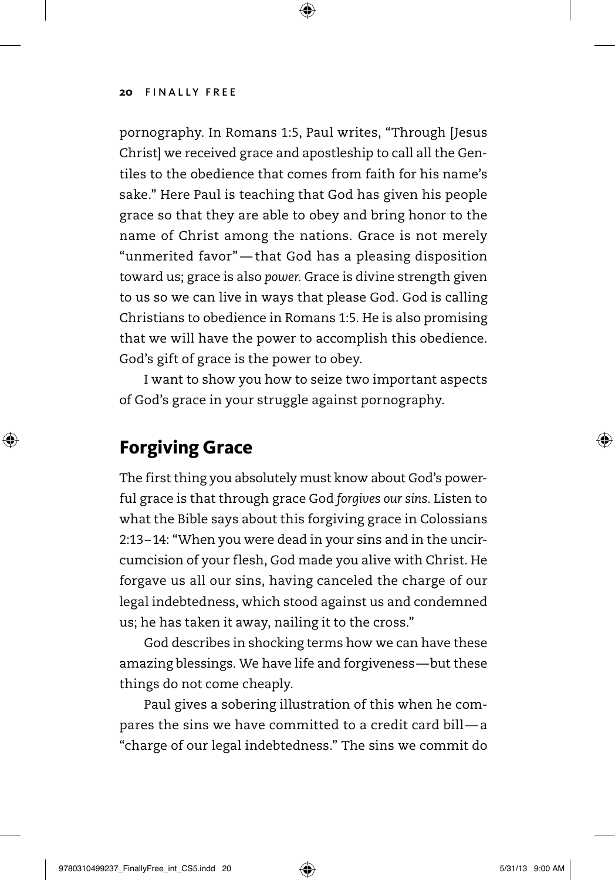pornography. In Romans 1:5, Paul writes, "Through [ Jesus Christ] we received grace and apostleship to call all the Gentiles to the obedience that comes from faith for his name's sake." Here Paul is teaching that God has given his people grace so that they are able to obey and bring honor to the name of Christ among the nations. Grace is not merely "unmerited favor" — that God has a pleasing disposition toward us; grace is also *power*. Grace is divine strength given to us so we can live in ways that please God. God is calling Christians to obedience in Romans 1:5. He is also promising that we will have the power to accomplish this obedience. God's gift of grace is the power to obey.

I want to show you how to seize two important aspects of God's grace in your struggle against pornography.

#### **Forgiving Grace**

The first thing you absolutely must know about God's powerful grace is that through grace God *forgives our sins.* Listen to what the Bible says about this forgiving grace in Colossians 2:13 – 14: "When you were dead in your sins and in the uncircumcision of your flesh, God made you alive with Christ. He forgave us all our sins, having canceled the charge of our legal indebtedness, which stood against us and condemned us; he has taken it away, nailing it to the cross."

God describes in shocking terms how we can have these amazing blessings. We have life and forgiveness — but these things do not come cheaply.

Paul gives a sobering illustration of this when he compares the sins we have committed to a credit card bill — a "charge of our legal indebtedness." The sins we commit do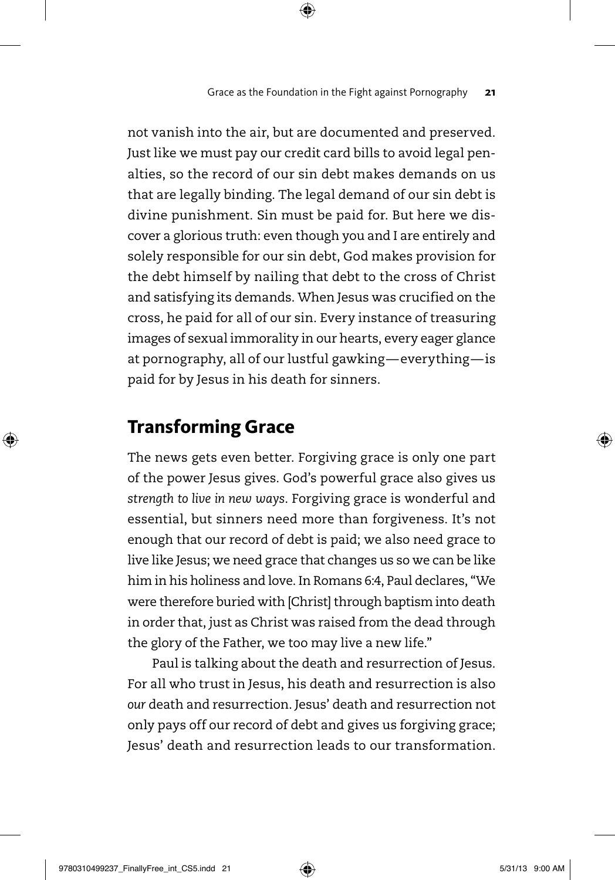not vanish into the air, but are documented and preserved. Just like we must pay our credit card bills to avoid legal penalties, so the record of our sin debt makes demands on us that are legally binding. The legal demand of our sin debt is divine punishment. Sin must be paid for. But here we discover a glorious truth: even though you and I are entirely and solely responsible for our sin debt, God makes provision for the debt himself by nailing that debt to the cross of Christ and satisfying its demands. When Jesus was crucified on the cross, he paid for all of our sin. Every instance of treasuring images of sexual immorality in our hearts, every eager glance at pornography, all of our lustful gawking — everything — is paid for by Jesus in his death for sinners.

#### **Transforming Grace**

The news gets even better. Forgiving grace is only one part of the power Jesus gives. God's powerful grace also gives us *strength to live in new ways*. Forgiving grace is wonderful and essential, but sinners need more than forgiveness. It's not enough that our record of debt is paid; we also need grace to live like Jesus; we need grace that changes us so we can be like him in his holiness and love. In Romans 6:4, Paul declares, "We were therefore buried with [Christ] through baptism into death in order that, just as Christ was raised from the dead through the glory of the Father, we too may live a new life."

Paul is talking about the death and resurrection of Jesus. For all who trust in Jesus, his death and resurrection is also *our* death and resurrection. Jesus' death and resurrection not only pays off our record of debt and gives us forgiving grace; Jesus' death and resurrection leads to our transformation.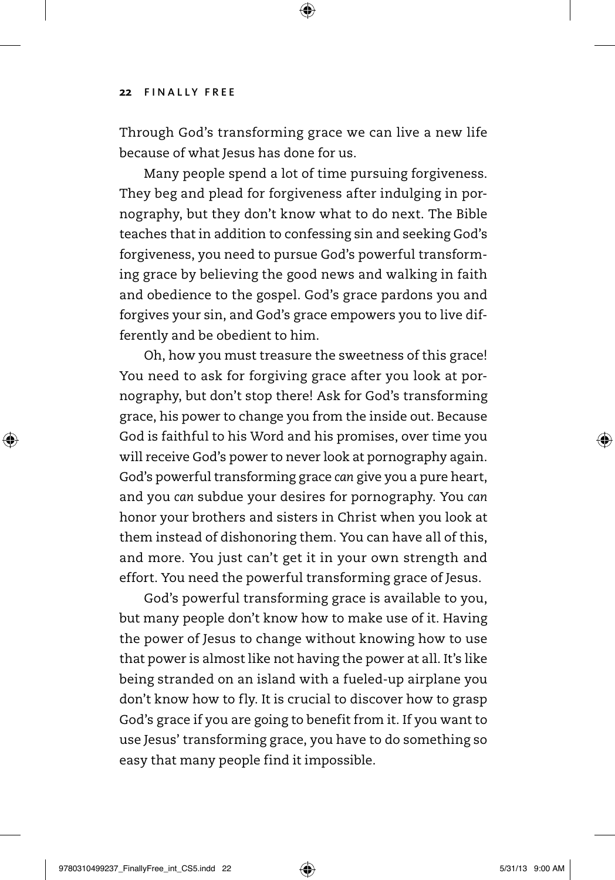Through God's transforming grace we can live a new life because of what Jesus has done for us.

Many people spend a lot of time pursuing forgiveness. They beg and plead for forgiveness after indulging in pornography, but they don't know what to do next. The Bible teaches that in addition to confessing sin and seeking God's forgiveness, you need to pursue God's powerful transforming grace by believing the good news and walking in faith and obedience to the gospel. God's grace pardons you and forgives your sin, and God's grace empowers you to live differently and be obedient to him.

Oh, how you must treasure the sweetness of this grace! You need to ask for forgiving grace after you look at pornography, but don't stop there! Ask for God's transforming grace, his power to change you from the inside out. Because God is faithful to his Word and his promises, over time you will receive God's power to never look at pornography again. God's powerful transforming grace *can* give you a pure heart, and you *can* subdue your desires for pornography. You *can* honor your brothers and sisters in Christ when you look at them instead of dishonoring them. You can have all of this, and more. You just can't get it in your own strength and effort. You need the powerful transforming grace of Jesus.

God's powerful transforming grace is available to you, but many people don't know how to make use of it. Having the power of Jesus to change without knowing how to use that power is almost like not having the power at all. It's like being stranded on an island with a fueled-up airplane you don't know how to fly. It is crucial to discover how to grasp God's grace if you are going to benefit from it. If you want to use Jesus' transforming grace, you have to do something so easy that many people find it impossible.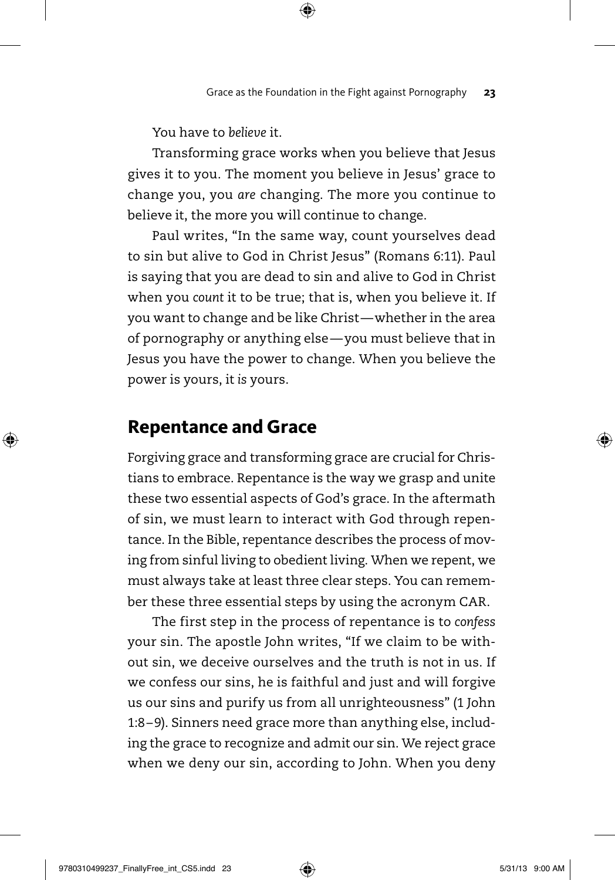You have to *believe* it.

Transforming grace works when you believe that Jesus gives it to you. The moment you believe in Jesus' grace to change you, you *are* changing. The more you continue to believe it, the more you will continue to change.

Paul writes, "In the same way, count yourselves dead to sin but alive to God in Christ Jesus" (Romans 6:11). Paul is saying that you are dead to sin and alive to God in Christ when you *count* it to be true; that is, when you believe it. If you want to change and be like Christ — whether in the area of pornography or anything else — you must believe that in Jesus you have the power to change. When you believe the power is yours, it *is* yours.

#### **Repentance and Grace**

Forgiving grace and transforming grace are crucial for Christians to embrace. Repentance is the way we grasp and unite these two essential aspects of God's grace. In the aftermath of sin, we must learn to interact with God through repentance. In the Bible, repentance describes the process of moving from sinful living to obedient living. When we repent, we must always take at least three clear steps. You can remember these three essential steps by using the acronym CAR.

The first step in the process of repentance is to *confess* your sin. The apostle John writes, "If we claim to be without sin, we deceive ourselves and the truth is not in us. If we confess our sins, he is faithful and just and will forgive us our sins and purify us from all unrighteousness" (1 John 1:8 – 9). Sinners need grace more than anything else, including the grace to recognize and admit our sin. We reject grace when we deny our sin, according to John. When you deny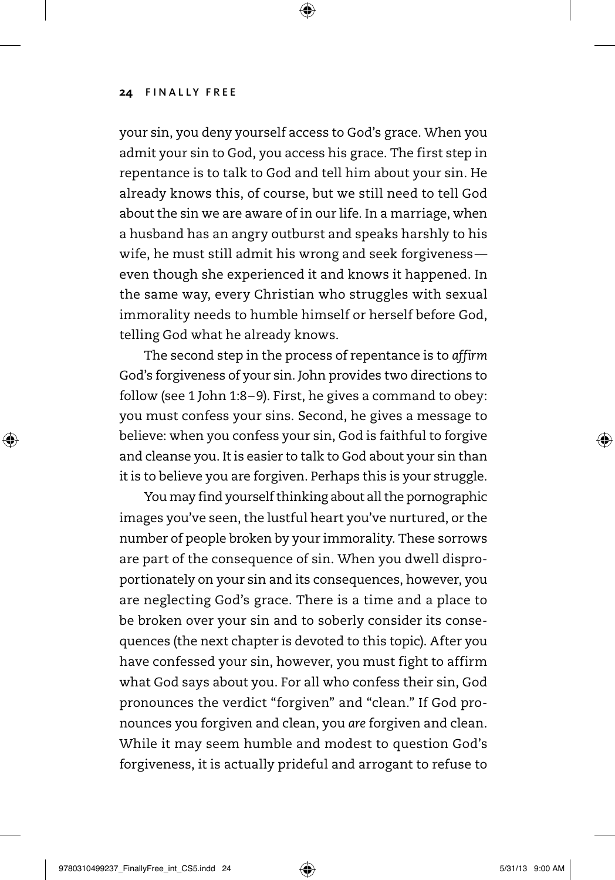your sin, you deny yourself access to God's grace. When you admit your sin to God, you access his grace. The first step in repentance is to talk to God and tell him about your sin. He already knows this, of course, but we still need to tell God about the sin we are aware of in our life. In a marriage, when a husband has an angry outburst and speaks harshly to his wife, he must still admit his wrong and seek forgiveness even though she experienced it and knows it happened. In the same way, every Christian who struggles with sexual immorality needs to humble himself or herself before God, telling God what he already knows.

The second step in the process of repentance is to *affirm* God's forgiveness of your sin. John provides two directions to follow (see 1 John 1:8-9). First, he gives a command to obey: you must confess your sins. Second, he gives a message to believe: when you confess your sin, God is faithful to forgive and cleanse you. It is easier to talk to God about your sin than it is to believe you are forgiven. Perhaps this is your struggle.

You may find yourself thinking about all the pornographic images you've seen, the lustful heart you've nurtured, or the number of people broken by your immorality. These sorrows are part of the consequence of sin. When you dwell disproportionately on your sin and its consequences, however, you are neglecting God's grace. There is a time and a place to be broken over your sin and to soberly consider its consequences (the next chapter is devoted to this topic). After you have confessed your sin, however, you must fight to affirm what God says about you. For all who confess their sin, God pronounces the verdict "forgiven" and "clean." If God pronounces you forgiven and clean, you *are* forgiven and clean. While it may seem humble and modest to question God's forgiveness, it is actually prideful and arrogant to refuse to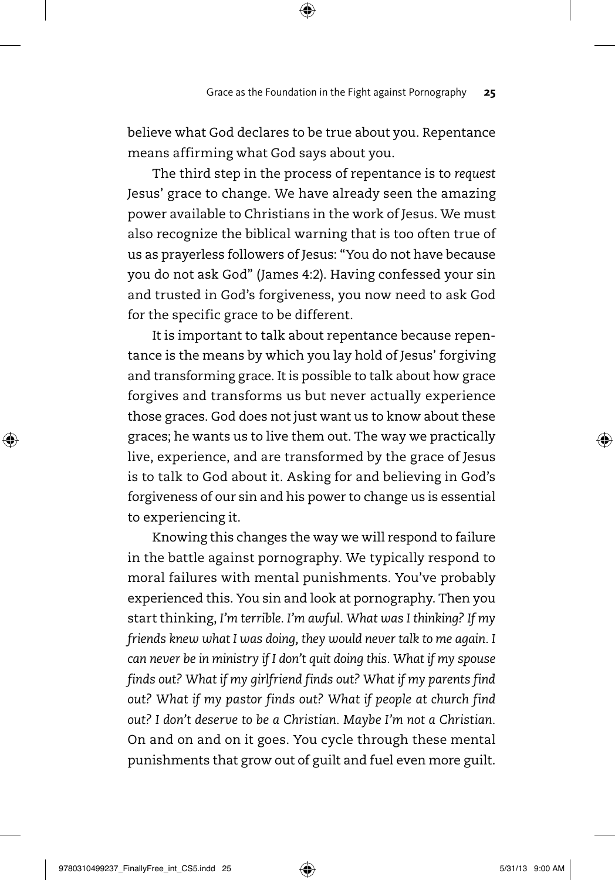believe what God declares to be true about you. Repentance means affirming what God says about you.

The third step in the process of repentance is to *request* Jesus' grace to change. We have already seen the amazing power available to Christians in the work of Jesus. We must also recognize the biblical warning that is too often true of us as prayerless followers of Jesus: "You do not have because you do not ask God" (James 4:2). Having confessed your sin and trusted in God's forgiveness, you now need to ask God for the specific grace to be different.

It is important to talk about repentance because repentance is the means by which you lay hold of Jesus' forgiving and transforming grace. It is possible to talk about how grace forgives and transforms us but never actually experience those graces. God does not just want us to know about these graces; he wants us to live them out. The way we practically live, experience, and are transformed by the grace of Jesus is to talk to God about it. Asking for and believing in God's forgiveness of our sin and his power to change us is essential to experiencing it.

Knowing this changes the way we will respond to failure in the battle against pornography. We typically respond to moral failures with mental punishments. You've probably experienced this. You sin and look at pornography. Then you start thinking, *I'm terrible. I'm awful. What was I thinking? If my friends knew what I was doing, they would never talk to me again. I can never be in ministry if I don't quit doing this. What if my spouse finds out? What if my girlfriend finds out? What if my parents find out? What if my pastor finds out? What if people at church find*  out? I don't deserve to be a Christian. Maybe I'm not a Christian. On and on and on it goes. You cycle through these mental punishments that grow out of guilt and fuel even more guilt.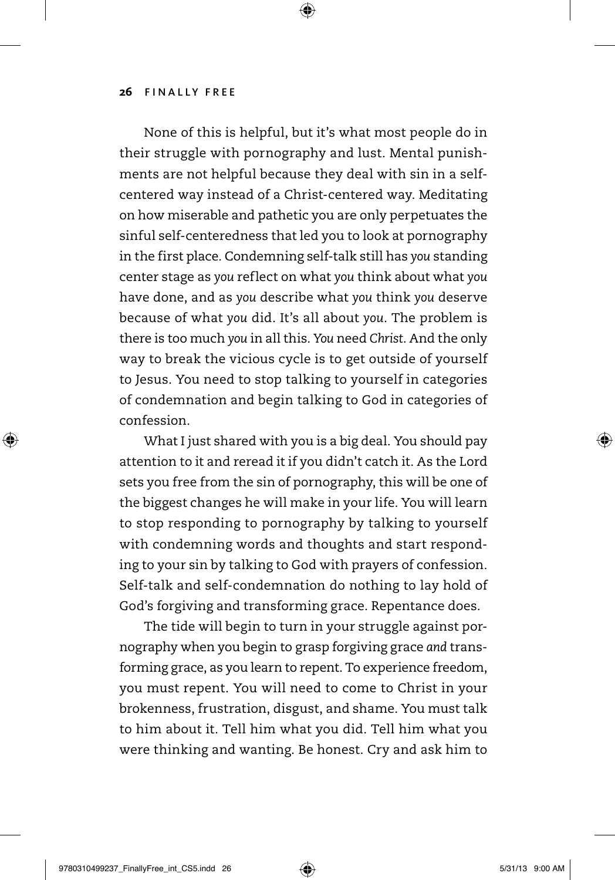None of this is helpful, but it's what most people do in their struggle with pornography and lust. Mental punishments are not helpful because they deal with sin in a selfcentered way instead of a Christ-centered way. Meditating on how miserable and pathetic you are only perpetuates the sinful self-centeredness that led you to look at pornography in the first place. Condemning self-talk still has *you* standing center stage as *you* reflect on what *you* think about what *you* have done, and as *you* describe what *you* think *you* deserve because of what *you* did. It's all about *you*. The problem is there is too much *you* in all this. *You* need *Christ*. And the only way to break the vicious cycle is to get outside of yourself to Jesus. You need to stop talking to yourself in categories of condemnation and begin talking to God in categories of confession.

What I just shared with you is a big deal. You should pay attention to it and reread it if you didn't catch it. As the Lord sets you free from the sin of pornography, this will be one of the biggest changes he will make in your life. You will learn to stop responding to pornography by talking to yourself with condemning words and thoughts and start responding to your sin by talking to God with prayers of confession. Self-talk and self-condemnation do nothing to lay hold of God's forgiving and transforming grace. Repentance does.

The tide will begin to turn in your struggle against pornography when you begin to grasp forgiving grace *and* transforming grace, as you learn to repent. To experience freedom, you must repent. You will need to come to Christ in your brokenness, frustration, disgust, and shame. You must talk to him about it. Tell him what you did. Tell him what you were thinking and wanting. Be honest. Cry and ask him to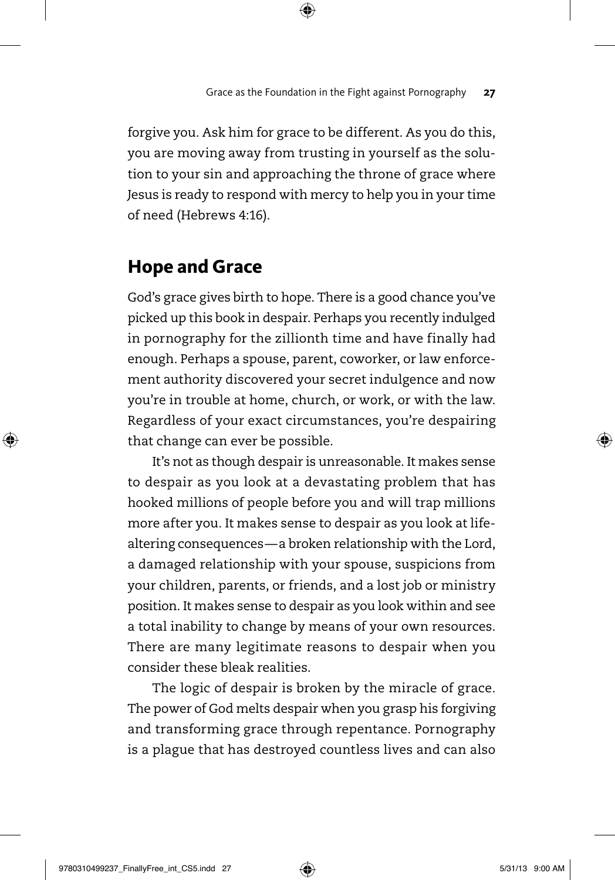forgive you. Ask him for grace to be different. As you do this, you are moving away from trusting in yourself as the solution to your sin and approaching the throne of grace where Jesus is ready to respond with mercy to help you in your time of need (Hebrews 4:16).

#### **Hope and Grace**

God's grace gives birth to hope. There is a good chance you've picked up this book in despair. Perhaps you recently indulged in pornography for the zillionth time and have finally had enough. Perhaps a spouse, parent, coworker, or law enforcement authority discovered your secret indulgence and now you're in trouble at home, church, or work, or with the law. Regardless of your exact circumstances, you're despairing that change can ever be possible.

It's not as though despair is unreasonable. It makes sense to despair as you look at a devastating problem that has hooked millions of people before you and will trap millions more after you. It makes sense to despair as you look at lifealtering consequences — a broken relationship with the Lord, a damaged relationship with your spouse, suspicions from your children, parents, or friends, and a lost job or ministry position. It makes sense to despair as you look within and see a total inability to change by means of your own resources. There are many legitimate reasons to despair when you consider these bleak realities.

The logic of despair is broken by the miracle of grace. The power of God melts despair when you grasp his forgiving and transforming grace through repentance. Pornography is a plague that has destroyed countless lives and can also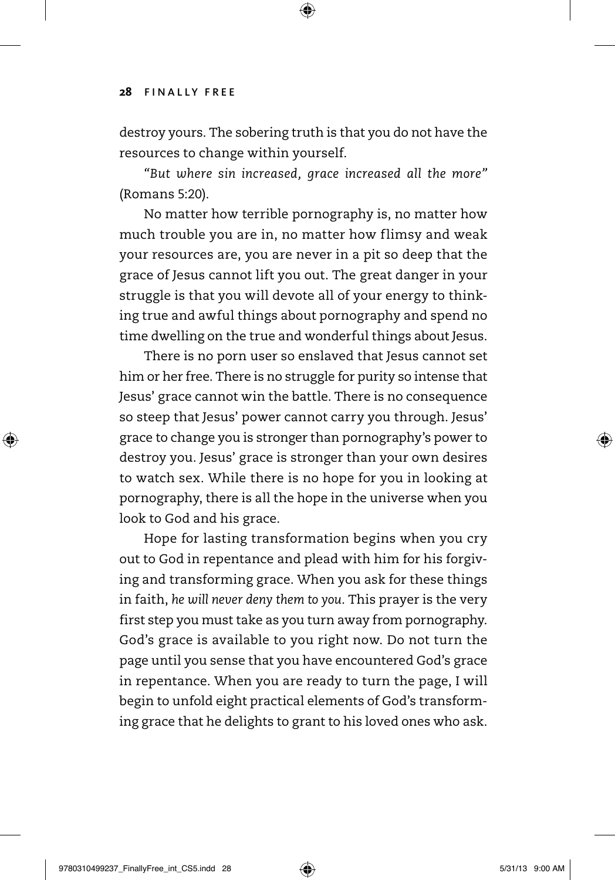destroy yours. The sobering truth is that you do not have the resources to change within yourself.

*"But where sin increased, grace increased all the more"* (Romans 5:20).

No matter how terrible pornography is, no matter how much trouble you are in, no matter how flimsy and weak your resources are, you are never in a pit so deep that the grace of Jesus cannot lift you out. The great danger in your struggle is that you will devote all of your energy to thinking true and awful things about pornography and spend no time dwelling on the true and wonderful things about Jesus.

There is no porn user so enslaved that Jesus cannot set him or her free. There is no struggle for purity so intense that Jesus' grace cannot win the battle. There is no consequence so steep that Jesus' power cannot carry you through. Jesus' grace to change you is stronger than pornography's power to destroy you. Jesus' grace is stronger than your own desires to watch sex. While there is no hope for you in looking at pornography, there is all the hope in the universe when you look to God and his grace.

Hope for lasting transformation begins when you cry out to God in repentance and plead with him for his forgiving and transforming grace. When you ask for these things in faith, *he will never deny them to you*. This prayer is the very first step you must take as you turn away from pornography. God's grace is available to you right now. Do not turn the page until you sense that you have encountered God's grace in repentance. When you are ready to turn the page, I will begin to unfold eight practical elements of God's transforming grace that he delights to grant to his loved ones who ask.